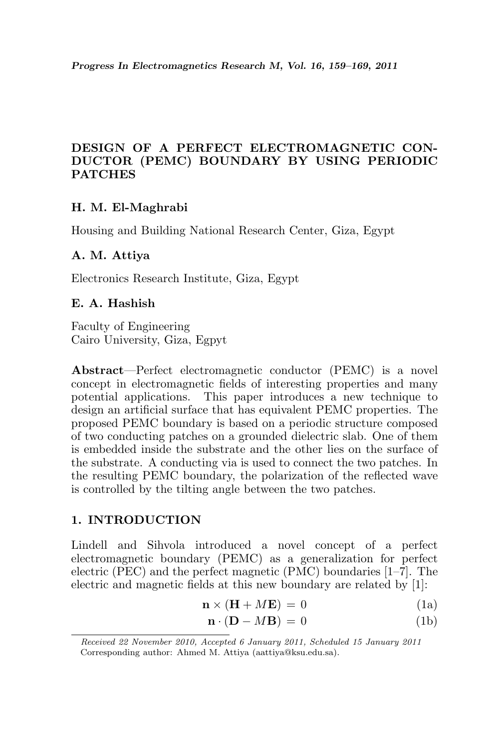# DESIGN OF A PERFECT ELECTROMAGNETIC CON-DUCTOR (PEMC) BOUNDARY BY USING PERIODIC PATCHES

# H. M. El-Maghrabi

Housing and Building National Research Center, Giza, Egypt

### A. M. Attiya

Electronics Research Institute, Giza, Egypt

#### E. A. Hashish

Faculty of Engineering Cairo University, Giza, Egpyt

Abstract—Perfect electromagnetic conductor (PEMC) is a novel concept in electromagnetic fields of interesting properties and many potential applications. This paper introduces a new technique to design an artificial surface that has equivalent PEMC properties. The proposed PEMC boundary is based on a periodic structure composed of two conducting patches on a grounded dielectric slab. One of them is embedded inside the substrate and the other lies on the surface of the substrate. A conducting via is used to connect the two patches. In the resulting PEMC boundary, the polarization of the reflected wave is controlled by the tilting angle between the two patches.

### 1. INTRODUCTION

Lindell and Sihvola introduced a novel concept of a perfect electromagnetic boundary (PEMC) as a generalization for perfect electric (PEC) and the perfect magnetic (PMC) boundaries [1–7]. The electric and magnetic fields at this new boundary are related by [1]:

$$
\mathbf{n} \times (\mathbf{H} + M\mathbf{E}) = 0 \tag{1a}
$$

$$
\mathbf{n} \cdot (\mathbf{D} - M\mathbf{B}) = 0 \tag{1b}
$$

Received 22 November 2010, Accepted 6 January 2011, Scheduled 15 January 2011 Corresponding author: Ahmed M. Attiya (aattiya@ksu.edu.sa).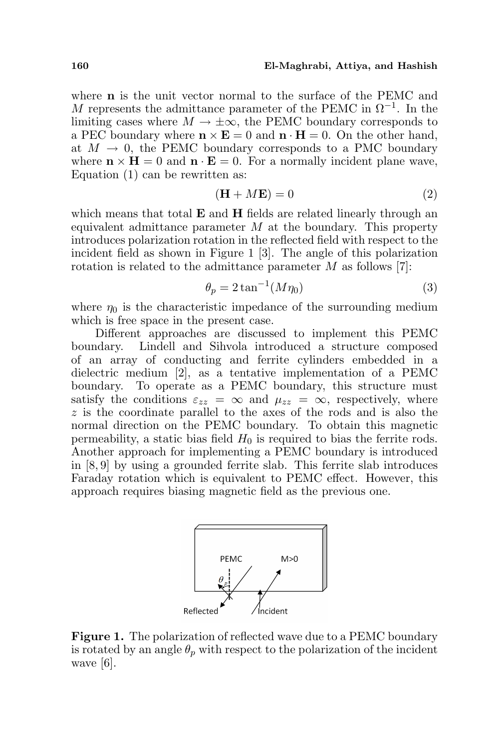#### 160 El-Maghrabi, Attiya, and Hashish

where **n** is the unit vector normal to the surface of the PEMC and M represents the admittance parameter of the PEMC in  $\Omega^{-1}$ . In the limiting cases where  $M \to \pm \infty$ , the PEMC boundary corresponds to a PEC boundary where  $\mathbf{n} \times \mathbf{E} = 0$  and  $\mathbf{n} \cdot \mathbf{H} = 0$ . On the other hand, at  $M \to 0$ , the PEMC boundary corresponds to a PMC boundary where  $\mathbf{n} \times \mathbf{H} = 0$  and  $\mathbf{n} \cdot \mathbf{E} = 0$ . For a normally incident plane wave, Equation (1) can be rewritten as:

$$
(\mathbf{H} + M\mathbf{E}) = 0\tag{2}
$$

which means that total  $E$  and  $H$  fields are related linearly through an equivalent admittance parameter  $M$  at the boundary. This property introduces polarization rotation in the reflected field with respect to the incident field as shown in Figure 1 [3]. The angle of this polarization rotation is related to the admittance parameter M as follows [7]:

$$
\theta_p = 2 \tan^{-1}(M\eta_0) \tag{3}
$$

where  $\eta_0$  is the characteristic impedance of the surrounding medium which is free space in the present case.

Different approaches are discussed to implement this PEMC boundary. Lindell and Sihvola introduced a structure composed of an array of conducting and ferrite cylinders embedded in a dielectric medium [2], as a tentative implementation of a PEMC boundary. To operate as a PEMC boundary, this structure must satisfy the conditions  $\varepsilon_{zz} = \infty$  and  $\mu_{zz} = \infty$ , respectively, where z is the coordinate parallel to the axes of the rods and is also the normal direction on the PEMC boundary. To obtain this magnetic permeability, a static bias field  $H_0$  is required to bias the ferrite rods. Another approach for implementing a PEMC boundary is introduced in [8, 9] by using a grounded ferrite slab. This ferrite slab introduces Faraday rotation which is equivalent to PEMC effect. However, this approach requires biasing magnetic field as the previous one.



Figure 1. The polarization of reflected wave due to a PEMC boundary is rotated by an angle  $\theta_p$  with respect to the polarization of the incident wave [6].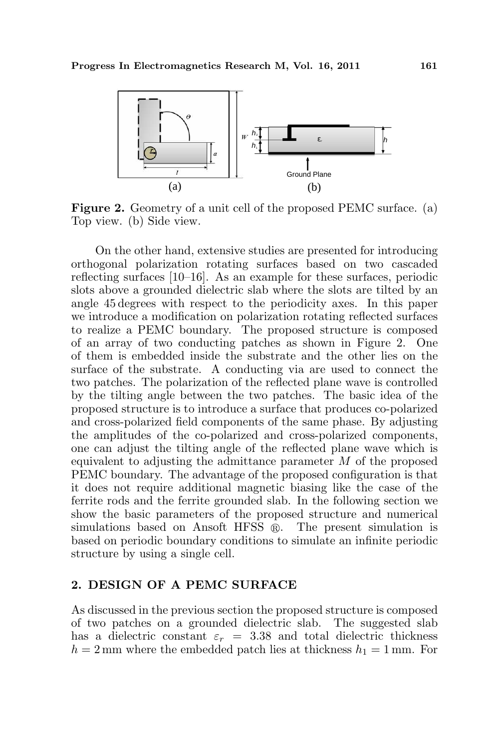

Figure 2. Geometry of a unit cell of the proposed PEMC surface. (a) Top view. (b) Side view.

On the other hand, extensive studies are presented for introducing orthogonal polarization rotating surfaces based on two cascaded reflecting surfaces [10–16]. As an example for these surfaces, periodic slots above a grounded dielectric slab where the slots are tilted by an angle 45 degrees with respect to the periodicity axes. In this paper we introduce a modification on polarization rotating reflected surfaces to realize a PEMC boundary. The proposed structure is composed of an array of two conducting patches as shown in Figure 2. One of them is embedded inside the substrate and the other lies on the surface of the substrate. A conducting via are used to connect the two patches. The polarization of the reflected plane wave is controlled by the tilting angle between the two patches. The basic idea of the proposed structure is to introduce a surface that produces co-polarized and cross-polarized field components of the same phase. By adjusting the amplitudes of the co-polarized and cross-polarized components, one can adjust the tilting angle of the reflected plane wave which is equivalent to adjusting the admittance parameter  $M$  of the proposed PEMC boundary. The advantage of the proposed configuration is that it does not require additional magnetic biasing like the case of the ferrite rods and the ferrite grounded slab. In the following section we show the basic parameters of the proposed structure and numerical simulations based on Ansoft HFSS  $\mathbb{R}$ . The present simulation is based on periodic boundary conditions to simulate an infinite periodic structure by using a single cell.

### 2. DESIGN OF A PEMC SURFACE

As discussed in the previous section the proposed structure is composed of two patches on a grounded dielectric slab. The suggested slab has a dielectric constant  $\varepsilon_r = 3.38$  and total dielectric thickness  $h = 2$  mm where the embedded patch lies at thickness  $h_1 = 1$  mm. For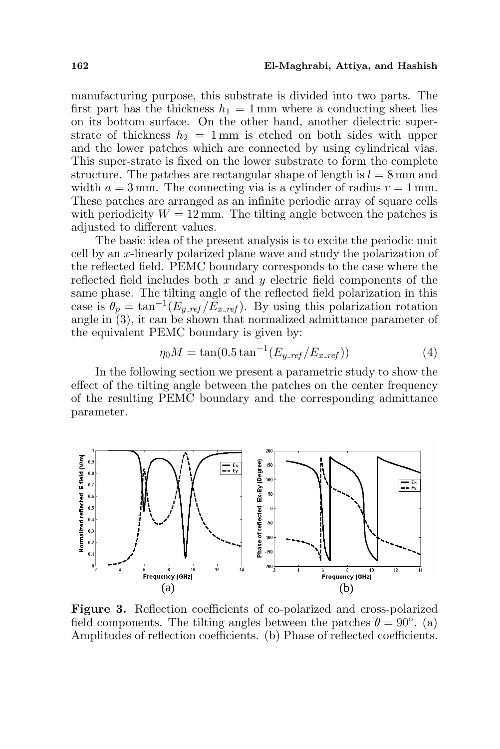#### 162 El-Maghrabi, Attiya, and Hashish

manufacturing purpose, this substrate is divided into two parts. The first part has the thickness  $h_1 = 1$  mm where a conducting sheet lies on its bottom surface. On the other hand, another dielectric superstrate of thickness  $h_2 = 1$  mm is etched on both sides with upper and the lower patches which are connected by using cylindrical vias. This super-strate is fixed on the lower substrate to form the complete structure. The patches are rectangular shape of length is  $l = 8$  mm and width  $a = 3$  mm. The connecting via is a cylinder of radius  $r = 1$  mm. These patches are arranged as an infinite periodic array of square cells with periodicity  $W = 12$  mm. The tilting angle between the patches is adjusted to different values.

The basic idea of the present analysis is to excite the periodic unit cell by an x-linearly polarized plane wave and study the polarization of the reflected field. PEMC boundary corresponds to the case where the reflected field includes both  $x$  and  $y$  electric field components of the same phase. The tilting angle of the reflected field polarization in this case is  $\theta_p = \tan^{-1}(E_{y_{ref}}/\tilde{E}_{x_{ref}})$ . By using this polarization rotation angle in  $(3)$ , it can be shown that normalized admittance parameter of the equivalent PEMC boundary is given by:

$$
\eta_0 M = \tan(0.5 \tan^{-1}(E_{y\_ref}/E_{x\_ref}))
$$
\n(4)

In the following section we present a parametric study to show the effect of the tilting angle between the patches on the center frequency of the resulting PEMC boundary and the corresponding admittance parameter.



Figure 3. Reflection coefficients of co-polarized and cross-polarized field components. The tilting angles between the patches  $\theta = 90^{\circ}$ . (a) Amplitudes of reflection coefficients. (b) Phase of reflected coefficients.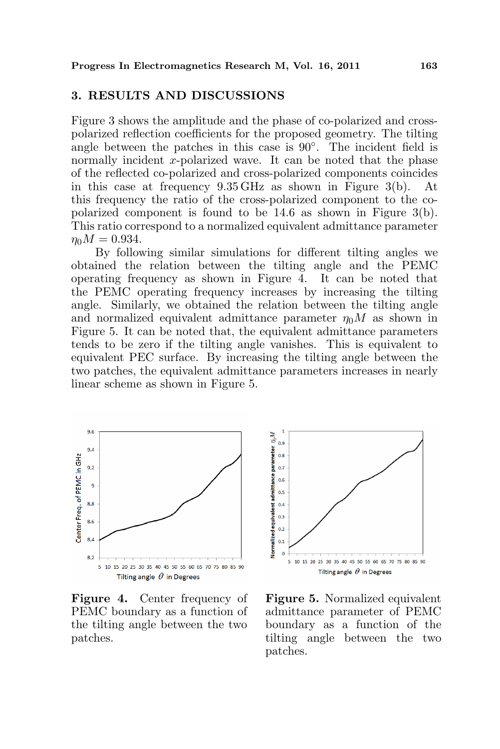# 3. RESULTS AND DISCUSSIONS

Figure 3 shows the amplitude and the phase of co-polarized and crosspolarized reflection coefficients for the proposed geometry. The tilting angle between the patches in this case is  $90^\circ$ . The incident field is normally incident x-polarized wave. It can be noted that the phase of the reflected co-polarized and cross-polarized components coincides in this case at frequency 9.35 GHz as shown in Figure 3(b). At this frequency the ratio of the cross-polarized component to the copolarized component is found to be 14.6 as shown in Figure 3(b). This ratio correspond to a normalized equivalent admittance parameter  $\eta_0 M = 0.934.$ 

By following similar simulations for different tilting angles we obtained the relation between the tilting angle and the PEMC operating frequency as shown in Figure 4. It can be noted that the PEMC operating frequency increases by increasing the tilting angle. Similarly, we obtained the relation between the tilting angle and normalized equivalent admittance parameter  $\eta_0 M$  as shown in Figure 5. It can be noted that, the equivalent admittance parameters tends to be zero if the tilting angle vanishes. This is equivalent to equivalent PEC surface. By increasing the tilting angle between the two patches, the equivalent admittance parameters increases in nearly linear scheme as shown in Figure 5.



Figure 4. Center frequency of PEMC boundary as a function of the tilting angle between the two patches.



Figure 5. Normalized equivalent admittance parameter of PEMC boundary as a function of the tilting angle between the two patches.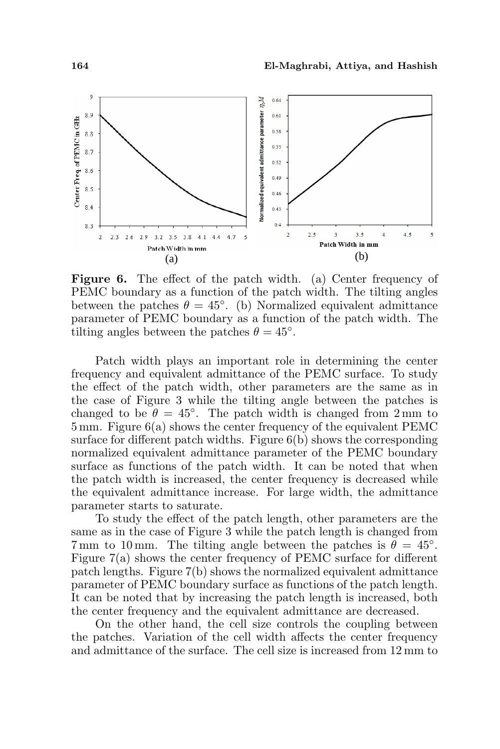

Figure 6. The effect of the patch width. (a) Center frequency of PEMC boundary as a function of the patch width. The tilting angles between the patches  $\theta = 45^{\circ}$ . (b) Normalized equivalent admittance parameter of PEMC boundary as a function of the patch width. The tilting angles between the patches  $\theta = 45^{\circ}$ .

Patch width plays an important role in determining the center frequency and equivalent admittance of the PEMC surface. To study the effect of the patch width, other parameters are the same as in the case of Figure 3 while the tilting angle between the patches is changed to be  $\theta = 45^\circ$ . The patch width is changed from 2 mm to 5 mm. Figure 6(a) shows the center frequency of the equivalent PEMC surface for different patch widths. Figure  $6(b)$  shows the corresponding normalized equivalent admittance parameter of the PEMC boundary surface as functions of the patch width. It can be noted that when the patch width is increased, the center frequency is decreased while the equivalent admittance increase. For large width, the admittance parameter starts to saturate.

To study the effect of the patch length, other parameters are the same as in the case of Figure 3 while the patch length is changed from 7 mm to 10 mm. The tilting angle between the patches is  $\ddot{\theta} = 45^{\circ}$ . Figure 7(a) shows the center frequency of PEMC surface for different patch lengths. Figure 7(b) shows the normalized equivalent admittance parameter of PEMC boundary surface as functions of the patch length. It can be noted that by increasing the patch length is increased, both the center frequency and the equivalent admittance are decreased.

On the other hand, the cell size controls the coupling between the patches. Variation of the cell width affects the center frequency and admittance of the surface. The cell size is increased from 12 mm to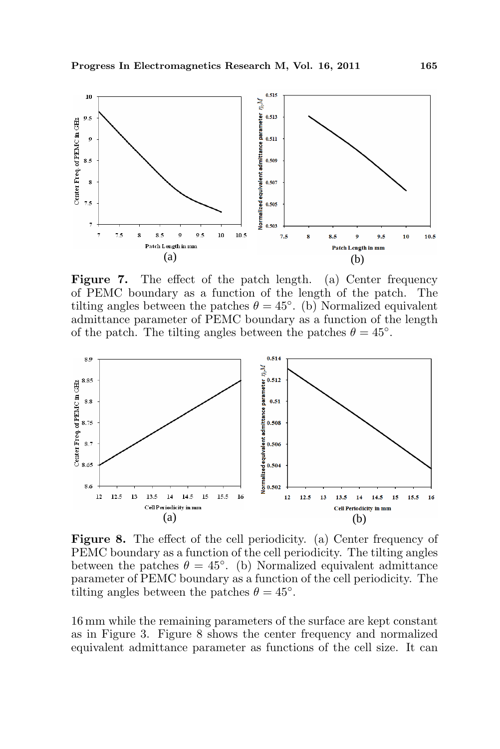

Figure 7. The effect of the patch length. (a) Center frequency of PEMC boundary as a function of the length of the patch. The tilting angles between the patches  $\theta = 45^{\circ}$ . (b) Normalized equivalent admittance parameter of PEMC boundary as a function of the length of the patch. The tilting angles between the patches  $\theta = 45^{\circ}$ .



Figure 8. The effect of the cell periodicity. (a) Center frequency of PEMC boundary as a function of the cell periodicity. The tilting angles between the patches  $\theta = 45^{\circ}$ . (b) Normalized equivalent admittance parameter of PEMC boundary as a function of the cell periodicity. The tilting angles between the patches  $\theta = 45^{\circ}$ .

16 mm while the remaining parameters of the surface are kept constant as in Figure 3. Figure 8 shows the center frequency and normalized equivalent admittance parameter as functions of the cell size. It can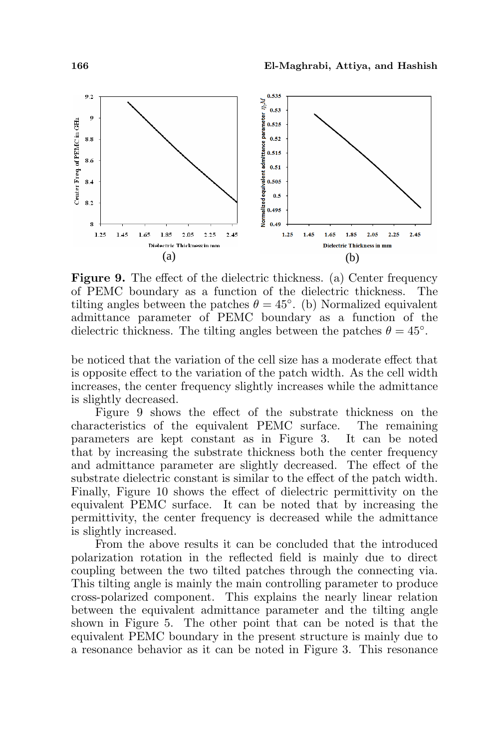

Figure 9. The effect of the dielectric thickness. (a) Center frequency of PEMC boundary as a function of the dielectric thickness. The tilting angles between the patches  $\theta = 45^{\circ}$ . (b) Normalized equivalent admittance parameter of PEMC boundary as a function of the dielectric thickness. The tilting angles between the patches  $\theta = 45^\circ$ .

be noticed that the variation of the cell size has a moderate effect that is opposite effect to the variation of the patch width. As the cell width increases, the center frequency slightly increases while the admittance is slightly decreased.

Figure 9 shows the effect of the substrate thickness on the characteristics of the equivalent PEMC surface. The remaining parameters are kept constant as in Figure 3. It can be noted that by increasing the substrate thickness both the center frequency and admittance parameter are slightly decreased. The effect of the substrate dielectric constant is similar to the effect of the patch width. Finally, Figure 10 shows the effect of dielectric permittivity on the equivalent PEMC surface. It can be noted that by increasing the permittivity, the center frequency is decreased while the admittance is slightly increased.

From the above results it can be concluded that the introduced polarization rotation in the reflected field is mainly due to direct coupling between the two tilted patches through the connecting via. This tilting angle is mainly the main controlling parameter to produce cross-polarized component. This explains the nearly linear relation between the equivalent admittance parameter and the tilting angle shown in Figure 5. The other point that can be noted is that the equivalent PEMC boundary in the present structure is mainly due to a resonance behavior as it can be noted in Figure 3. This resonance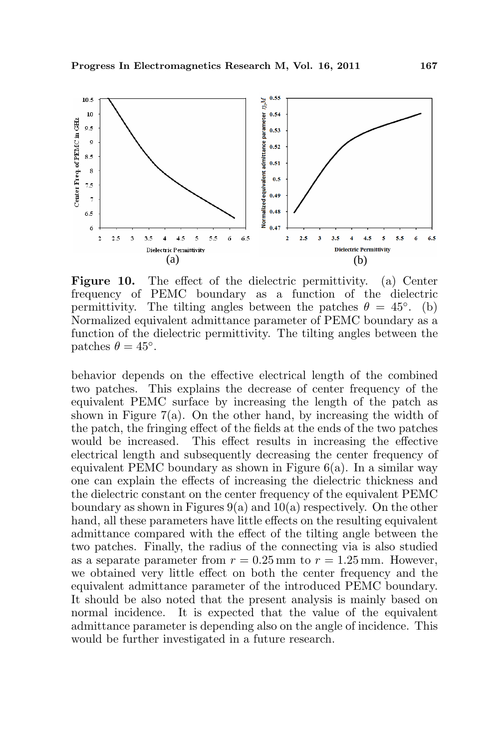

Figure 10. The effect of the dielectric permittivity. (a) Center frequency of PEMC boundary as a function of the dielectric permittivity. The tilting angles between the patches  $\theta = 45^{\circ}$ . (b) Normalized equivalent admittance parameter of PEMC boundary as a function of the dielectric permittivity. The tilting angles between the patches  $\theta = 45^\circ$ .

behavior depends on the effective electrical length of the combined two patches. This explains the decrease of center frequency of the equivalent PEMC surface by increasing the length of the patch as shown in Figure  $7(a)$ . On the other hand, by increasing the width of the patch, the fringing effect of the fields at the ends of the two patches would be increased. This effect results in increasing the effective electrical length and subsequently decreasing the center frequency of equivalent PEMC boundary as shown in Figure  $6(a)$ . In a similar way one can explain the effects of increasing the dielectric thickness and the dielectric constant on the center frequency of the equivalent PEMC boundary as shown in Figures  $9(a)$  and  $10(a)$  respectively. On the other hand, all these parameters have little effects on the resulting equivalent admittance compared with the effect of the tilting angle between the two patches. Finally, the radius of the connecting via is also studied as a separate parameter from  $r = 0.25$  mm to  $r = 1.25$  mm. However, we obtained very little effect on both the center frequency and the equivalent admittance parameter of the introduced PEMC boundary. It should be also noted that the present analysis is mainly based on normal incidence. It is expected that the value of the equivalent admittance parameter is depending also on the angle of incidence. This would be further investigated in a future research.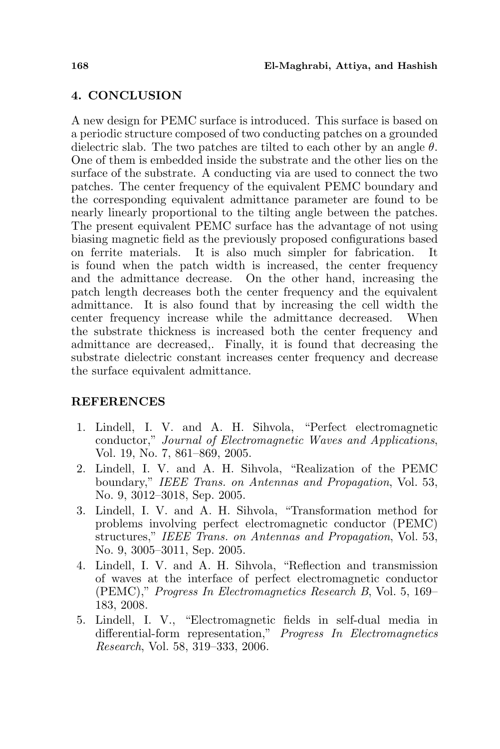# 4. CONCLUSION

A new design for PEMC surface is introduced. This surface is based on a periodic structure composed of two conducting patches on a grounded dielectric slab. The two patches are tilted to each other by an angle  $\theta$ . One of them is embedded inside the substrate and the other lies on the surface of the substrate. A conducting via are used to connect the two patches. The center frequency of the equivalent PEMC boundary and the corresponding equivalent admittance parameter are found to be nearly linearly proportional to the tilting angle between the patches. The present equivalent PEMC surface has the advantage of not using biasing magnetic field as the previously proposed configurations based on ferrite materials. It is also much simpler for fabrication. is found when the patch width is increased, the center frequency and the admittance decrease. On the other hand, increasing the patch length decreases both the center frequency and the equivalent admittance. It is also found that by increasing the cell width the center frequency increase while the admittance decreased. When the substrate thickness is increased both the center frequency and admittance are decreased,. Finally, it is found that decreasing the substrate dielectric constant increases center frequency and decrease the surface equivalent admittance.

# REFERENCES

- 1. Lindell, I. V. and A. H. Sihvola, "Perfect electromagnetic conductor," Journal of Electromagnetic Waves and Applications, Vol. 19, No. 7, 861–869, 2005.
- 2. Lindell, I. V. and A. H. Sihvola, "Realization of the PEMC boundary," IEEE Trans. on Antennas and Propagation, Vol. 53, No. 9, 3012–3018, Sep. 2005.
- 3. Lindell, I. V. and A. H. Sihvola, "Transformation method for problems involving perfect electromagnetic conductor (PEMC) structures," IEEE Trans. on Antennas and Propagation, Vol. 53, No. 9, 3005–3011, Sep. 2005.
- 4. Lindell, I. V. and A. H. Sihvola, "Reflection and transmission of waves at the interface of perfect electromagnetic conductor (PEMC)," Progress In Electromagnetics Research B, Vol. 5, 169– 183, 2008.
- 5. Lindell, I. V., "Electromagnetic fields in self-dual media in differential-form representation," Progress In Electromagnetics Research, Vol. 58, 319–333, 2006.